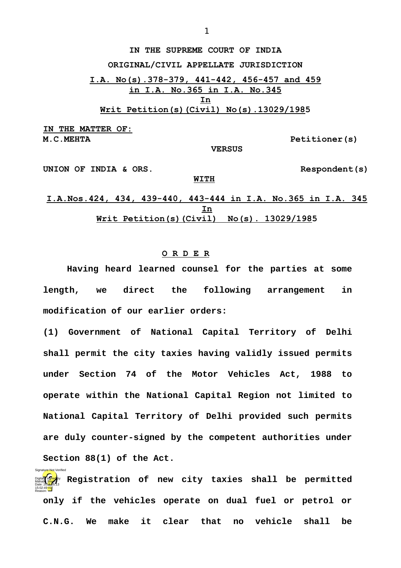**IN THE SUPREME COURT OF INDIA ORIGINAL/CIVIL APPELLATE JURISDICTION I.A. No(s).378-379, 441-442, 456-457 and 459 in I.A. No.365 in I.A. No.345 In Writ Petition(s)(Civil) No(s).13029/1985**

**IN THE MATTER OF: M.C.MEHTA Petitioner(s)**

Signature Not Verified

 **VERSUS**

UNION OF INDIA & ORS. Respondent(s)

**I.A.Nos.424, 434, 439-440, 443-444 in I.A. No.365 in I.A. 345 In Writ Petition(s)(Civil) No(s). 13029/1985**

**WITH**

## **O R D E R**

**Having heard learned counsel for the parties at some length, we direct the following arrangement in modification of our earlier orders:**

**(1) Government of National Capital Territory of Delhi shall permit the city taxies having validly issued permits under Section 74 of the Motor Vehicles Act, 1988 to operate within the National Capital Region not limited to National Capital Territory of Delhi provided such permits are duly counter-signed by the competent authorities under Section 88(1) of the Act.**

**Digitally signed**by Registration of new city taxies shall be permitted<br>Date: 2016.05.13 **only if the vehicles operate on dual fuel or petrol or C.N.G. We make it clear that no vehicle shall be** 15:02:49 IST Reason: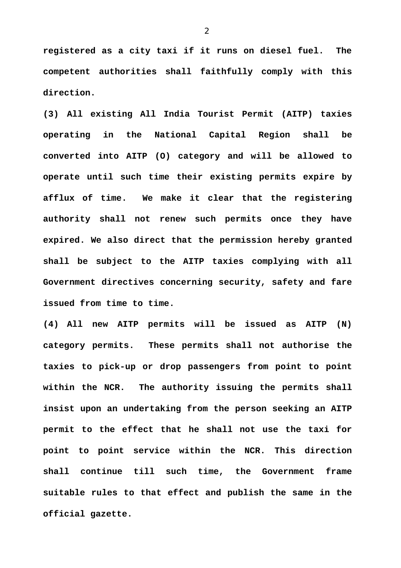**registered as a city taxi if it runs on diesel fuel. The competent authorities shall faithfully comply with this direction.**

**(3) All existing All India Tourist Permit (AITP) taxies operating in the National Capital Region shall be converted into AITP (O) category and will be allowed to operate until such time their existing permits expire by afflux of time. We make it clear that the registering authority shall not renew such permits once they have expired. We also direct that the permission hereby granted shall be subject to the AITP taxies complying with all Government directives concerning security, safety and fare issued from time to time.**

**(4) All new AITP permits will be issued as AITP (N) category permits. These permits shall not authorise the taxies to pick-up or drop passengers from point to point within the NCR. The authority issuing the permits shall insist upon an undertaking from the person seeking an AITP permit to the effect that he shall not use the taxi for point to point service within the NCR. This direction shall continue till such time, the Government frame suitable rules to that effect and publish the same in the official gazette.**

2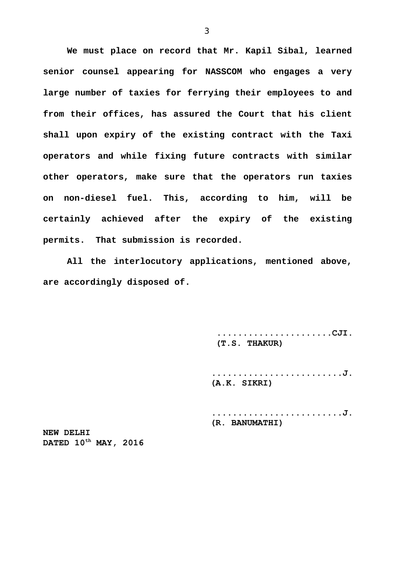**We must place on record that Mr. Kapil Sibal, learned senior counsel appearing for NASSCOM who engages a very large number of taxies for ferrying their employees to and from their offices, has assured the Court that his client shall upon expiry of the existing contract with the Taxi operators and while fixing future contracts with similar other operators, make sure that the operators run taxies on non-diesel fuel. This, according to him, will be certainly achieved after the expiry of the existing permits. That submission is recorded.**

**All the interlocutory applications, mentioned above, are accordingly disposed of.** 

> **......................CJI. (T.S. THAKUR)**

**.........................J. (A.K. SIKRI)**

**.........................J. (R. BANUMATHI)**

**NEW DELHI DATED 10th MAY, 2016**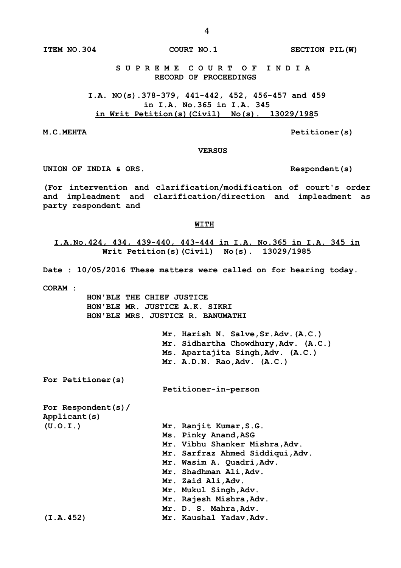**S U P R E M E C O U R T O F I N D I A RECORD OF PROCEEDINGS**

**I.A. NO(s).378-379, 441-442, 452, 456-457 and 459 in I.A. No.365 in I.A. 345 in Writ Petition(s)(Civil) No(s). 13029/1985**

**M.C.MEHTA Petitioner(s)**

## **VERSUS**

UNION OF INDIA & ORS.

**(For intervention and clarification/modification of court's order and impleadment and clarification/direction and impleadment as party respondent and**

## **WITH**

**I.A.No.424, 434, 439-440, 443-444 in I.A. No.365 in I.A. 345 in Writ Petition(s)(Civil) No(s). 13029/1985**

**Date : 10/05/2016 These matters were called on for hearing today.**

**CORAM :** 

 **HON'BLE THE CHIEF JUSTICE HON'BLE MR. JUSTICE A.K. SIKRI HON'BLE MRS. JUSTICE R. BANUMATHI**

> **Mr. Harish N. Salve,Sr.Adv.(A.C.) Mr. Sidhartha Chowdhury,Adv. (A.C.) Ms. Apartajita Singh,Adv. (A.C.) Mr. A.D.N. Rao,Adv. (A.C.)**

**For Petitioner(s)**

**Petitioner-in-person**

**For Respondent(s)/ Applicant(s) (U.O.I.) Mr. Ranjit Kumar,S.G.**

| $\overline{U}$ . $\overline{U}$ . $\overline{L}$ . $\overline{L}$ | $ML$ . Rail $1L$ Rumal, $3.9$ .  |
|-------------------------------------------------------------------|----------------------------------|
|                                                                   | Ms. Pinky Anand, ASG             |
|                                                                   | Mr. Vibhu Shanker Mishra, Adv.   |
|                                                                   | Mr. Sarfraz Ahmed Siddiqui, Adv. |
|                                                                   | Mr. Wasim A. Quadri, Adv.        |
|                                                                   | Mr. Shadhman Ali, Adv.           |
|                                                                   | Mr. Zaid Ali, Adv.               |
|                                                                   | Mr. Mukul Singh, Adv.            |
|                                                                   | Mr. Rajesh Mishra, Adv.          |
|                                                                   | Mr. D. S. Mahra, Adv.            |
| (I.A.452)                                                         | Mr. Kaushal Yadav, Adv.          |
|                                                                   |                                  |

**ITEM NO.304 COURT NO.1 SECTION PIL(W)**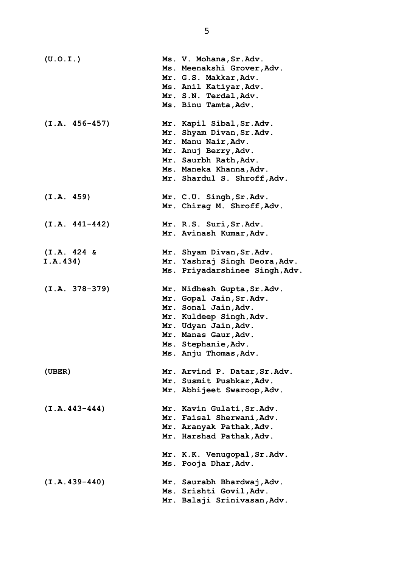| (U.0.I.)         | Ms. V. Mohana, Sr. Adv.                                |
|------------------|--------------------------------------------------------|
|                  | Ms. Meenakshi Grover, Adv.                             |
|                  | Mr. G.S. Makkar, Adv.                                  |
|                  | Ms. Anil Katiyar, Adv.                                 |
|                  | Mr. S.N. Terdal, Adv.                                  |
|                  | Ms. Binu Tamta, Adv.                                   |
|                  |                                                        |
| $(I.A. 456-457)$ | Mr. Kapil Sibal, Sr.Adv.                               |
|                  | Mr. Shyam Divan, Sr. Adv.                              |
|                  | Mr. Manu Nair, Adv.                                    |
|                  | Mr. Anuj Berry, Adv.                                   |
|                  | Mr. Saurbh Rath, Adv.                                  |
|                  | Ms. Maneka Khanna, Adv.                                |
|                  | Mr. Shardul S. Shroff, Adv.                            |
| (I.A. 459)       | Mr. C.U. Singh, Sr. Adv.                               |
|                  | Mr. Chirag M. Shroff, Adv.                             |
|                  |                                                        |
| $(I.A. 441-442)$ | Mr. R.S. Suri, Sr. Adv.                                |
|                  | Mr. Avinash Kumar, Adv.                                |
|                  |                                                        |
| $(I.A. 424 \&$   | Mr. Shyam Divan, Sr. Adv.                              |
| I.A.434)         | Mr. Yashraj Singh Deora, Adv.                          |
|                  | Ms. Priyadarshinee Singh, Adv.                         |
|                  |                                                        |
|                  |                                                        |
| $(I.A. 378-379)$ | Mr. Nidhesh Gupta, Sr. Adv.                            |
|                  | Mr. Gopal Jain, Sr. Adv.                               |
|                  | Mr. Sonal Jain, Adv.                                   |
|                  | Mr. Kuldeep Singh, Adv.                                |
|                  | Mr. Udyan Jain, Adv.                                   |
|                  | Mr. Manas Gaur, Adv.                                   |
|                  | Ms. Stephanie, Adv.                                    |
|                  | Ms. Anju Thomas, Adv.                                  |
| (UBER)           | Mr. Arvind P. Datar, Sr. Adv.                          |
|                  | Mr. Susmit Pushkar, Adv.                               |
|                  | Mr. Abhijeet Swaroop, Adv.                             |
|                  |                                                        |
| $(I.A.443-444)$  | Mr. Kavin Gulati, Sr. Adv.                             |
|                  | Mr. Faisal Sherwani, Adv.                              |
|                  | Mr. Aranyak Pathak, Adv.                               |
|                  | Mr. Harshad Pathak, Adv.                               |
|                  | Mr. K.K. Venugopal, Sr.Adv.                            |
|                  | Ms. Pooja Dhar, Adv.                                   |
|                  |                                                        |
| $(I.A.439-440)$  | Mr. Saurabh Bhardwaj, Adv.                             |
|                  | Ms. Srishti Govil, Adv.<br>Mr. Balaji Srinivasan, Adv. |